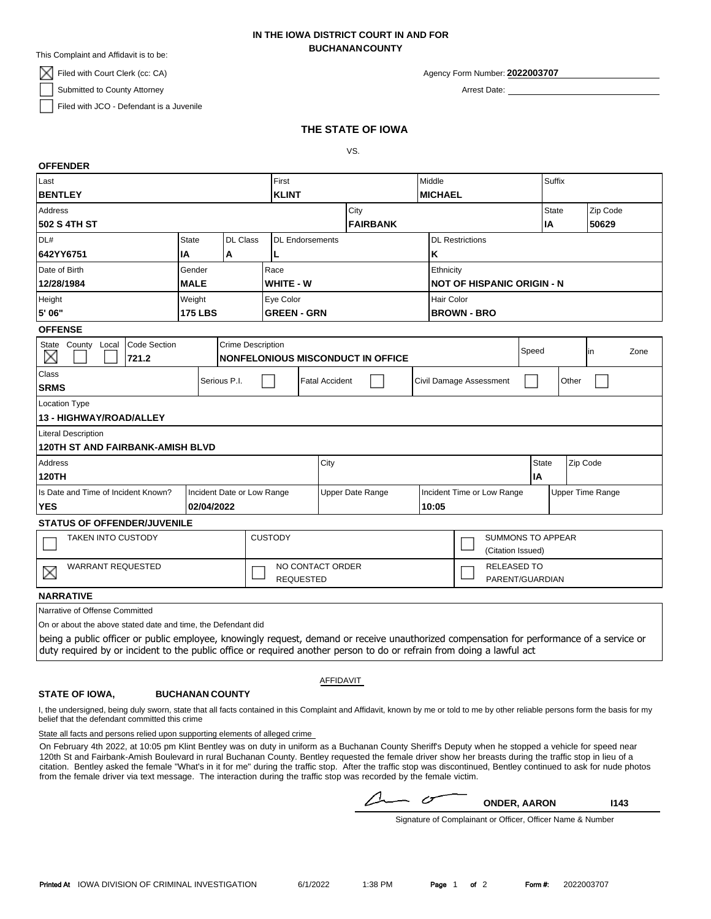This Complaint and Affidavit is to be:

 $\mathbb{X}$  Filed with Court Clerk (cc: CA)

Submitted to County Attorney

**OFFENDER**

Filed with JCO - Defendant is a Juvenile

### **BUCHANANCOUNTY IN THE IOWA DISTRICT COURT IN AND FOR**

Agency Form Number: **2022003707**

Arrest Date:

### **THE STATE OF IOWA**

VS.

| טו ו בוזרא                                                                                                                                |                |                                    |                                   |                       |           |  |                            |                                   |                 |                          |       |          |      |  |
|-------------------------------------------------------------------------------------------------------------------------------------------|----------------|------------------------------------|-----------------------------------|-----------------------|-----------|--|----------------------------|-----------------------------------|-----------------|--------------------------|-------|----------|------|--|
| Last                                                                                                                                      |                |                                    | First                             |                       |           |  | Middle                     |                                   |                 | Suffix                   |       |          |      |  |
| <b>BENTLEY</b>                                                                                                                            |                |                                    |                                   | <b>KLINT</b>          |           |  | <b>MICHAEL</b>             |                                   |                 |                          |       |          |      |  |
| <b>Address</b>                                                                                                                            |                |                                    |                                   |                       | City      |  |                            |                                   |                 | <b>State</b>             |       | Zip Code |      |  |
| 502 S 4TH ST                                                                                                                              |                |                                    | <b>FAIRBANK</b>                   |                       |           |  |                            |                                   |                 | IA                       |       | 50629    |      |  |
| DL#                                                                                                                                       | <b>State</b>   | DL Class<br><b>DL</b> Endorsements |                                   |                       |           |  |                            | <b>DL Restrictions</b>            |                 |                          |       |          |      |  |
| 642YY6751                                                                                                                                 | ΙA             | Α                                  | L                                 |                       |           |  | K                          |                                   |                 |                          |       |          |      |  |
| Date of Birth                                                                                                                             | Gender<br>Race |                                    |                                   |                       | Ethnicity |  |                            |                                   |                 |                          |       |          |      |  |
| 12/28/1984<br><b>MALE</b>                                                                                                                 |                |                                    | <b>WHITE - W</b>                  |                       |           |  |                            | <b>NOT OF HISPANIC ORIGIN - N</b> |                 |                          |       |          |      |  |
| Weight<br>Height                                                                                                                          |                |                                    | Eye Color                         |                       |           |  |                            | Hair Color                        |                 |                          |       |          |      |  |
| 5' 06"<br><b>175 LBS</b>                                                                                                                  |                |                                    | <b>GREEN - GRN</b>                |                       |           |  |                            | <b>BROWN - BRO</b>                |                 |                          |       |          |      |  |
| <b>OFFENSE</b>                                                                                                                            |                |                                    |                                   |                       |           |  |                            |                                   |                 |                          |       |          |      |  |
| Code Section<br><b>Crime Description</b><br>State County Local                                                                            |                |                                    |                                   |                       |           |  |                            | Speed                             |                 |                          | in    |          | Zone |  |
| ×<br>721.2                                                                                                                                |                |                                    | NONFELONIOUS MISCONDUCT IN OFFICE |                       |           |  |                            |                                   |                 |                          |       |          |      |  |
| Class                                                                                                                                     |                |                                    |                                   | <b>Fatal Accident</b> |           |  |                            |                                   |                 |                          | Other |          |      |  |
| Serious P.I.<br><b>SRMS</b>                                                                                                               |                |                                    | Civil Damage Assessment           |                       |           |  |                            |                                   |                 |                          |       |          |      |  |
| <b>Location Type</b>                                                                                                                      |                |                                    |                                   |                       |           |  |                            |                                   |                 |                          |       |          |      |  |
| 13 - HIGHWAY/ROAD/ALLEY                                                                                                                   |                |                                    |                                   |                       |           |  |                            |                                   |                 |                          |       |          |      |  |
| <b>Literal Description</b>                                                                                                                |                |                                    |                                   |                       |           |  |                            |                                   |                 |                          |       |          |      |  |
| <b>120TH ST AND FAIRBANK-AMISH BLVD</b>                                                                                                   |                |                                    |                                   |                       |           |  |                            |                                   |                 |                          |       |          |      |  |
| <b>Address</b>                                                                                                                            |                |                                    |                                   | City                  |           |  |                            |                                   |                 | <b>State</b><br>Zip Code |       |          |      |  |
| <b>120TH</b>                                                                                                                              |                |                                    |                                   |                       |           |  |                            |                                   |                 | <b>IA</b>                |       |          |      |  |
| Is Date and Time of Incident Known?<br>Incident Date or Low Range                                                                         |                |                                    |                                   | Upper Date Range      |           |  | Incident Time or Low Range |                                   |                 | <b>Upper Time Range</b>  |       |          |      |  |
| <b>YES</b><br>02/04/2022                                                                                                                  |                |                                    |                                   |                       |           |  |                            | 10:05                             |                 |                          |       |          |      |  |
| <b>STATUS OF OFFENDER/JUVENILE</b>                                                                                                        |                |                                    |                                   |                       |           |  |                            |                                   |                 |                          |       |          |      |  |
| <b>TAKEN INTO CUSTODY</b>                                                                                                                 |                |                                    | <b>CUSTODY</b>                    |                       |           |  |                            | <b>SUMMONS TO APPEAR</b>          |                 |                          |       |          |      |  |
|                                                                                                                                           |                |                                    |                                   |                       |           |  |                            | (Citation Issued)                 |                 |                          |       |          |      |  |
| <b>WARRANT REQUESTED</b><br>$\times$                                                                                                      |                |                                    |                                   | NO CONTACT ORDER      |           |  |                            | <b>RELEASED TO</b>                |                 |                          |       |          |      |  |
|                                                                                                                                           |                |                                    |                                   | <b>REQUESTED</b>      |           |  |                            |                                   | PARENT/GUARDIAN |                          |       |          |      |  |
| <b>NARRATIVE</b>                                                                                                                          |                |                                    |                                   |                       |           |  |                            |                                   |                 |                          |       |          |      |  |
| Narrative of Offense Committed                                                                                                            |                |                                    |                                   |                       |           |  |                            |                                   |                 |                          |       |          |      |  |
| On or about the above stated date and time, the Defendant did                                                                             |                |                                    |                                   |                       |           |  |                            |                                   |                 |                          |       |          |      |  |
| being a public officer or public employee, knowingly request, demand or receive unauthorized compensation for performance of a service or |                |                                    |                                   |                       |           |  |                            |                                   |                 |                          |       |          |      |  |

duty required by or incident to the public office or required another person to do or refrain from doing a lawful act

# AFFIDAVIT

#### **BUCHANAN COUNTY STATE OF IOWA,**

I, the undersigned, being duly sworn, state that all facts contained in this Complaint and Affidavit, known by me or told to me by other reliable persons form the basis for my belief that the defendant committed this crime

State all facts and persons relied upon supporting elements of alleged crime

On February 4th 2022, at 10:05 pm Klint Bentley was on duty in uniform as a Buchanan County Sheriff's Deputy when he stopped a vehicle for speed near 120th St and Fairbank-Amish Boulevard in rural Buchanan County. Bentley requested the female driver show her breasts during the traffic stop in lieu of a citation. Bentley asked the female "What's in it for me" during the traffic stop. After the traffic stop was discontinued, Bentley continued to ask for nude photos from the female driver via text message. The interaction during the traffic stop was recorded by the female victim.

 $\triangle$  $\sigma^-$ 

**ONDER, AARON I143**

Signature of Complainant or Officer, Officer Name & Number